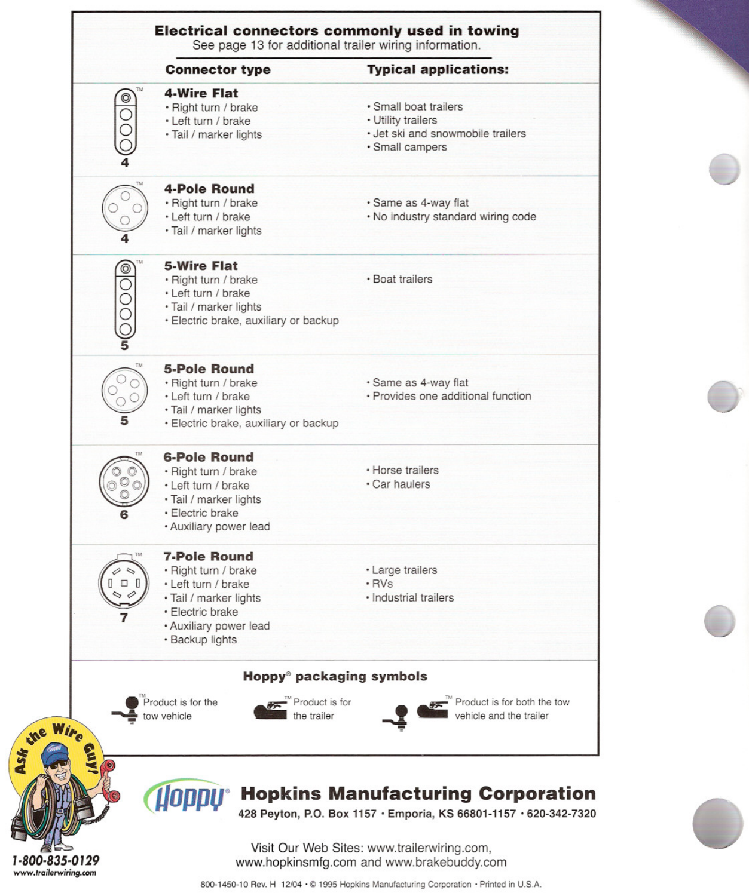| 4-Wire Flat<br>$\frac{1}{\sqrt{2}}$<br>· Small boat trailers<br>· Right turn / brake<br>• Utility trailers<br>• Left turn / brake<br>· Jet ski and snowmobile trailers<br>· Tail / marker lights<br>· Small campers<br><b>4-Pole Round</b><br>· Right turn / brake<br>· Same as 4-way flat<br>· Left turn / brake<br>. No industry standard wiring code<br>· Tail / marker lights<br><b>5-Wire Flat</b><br>$\circledcirc$<br>· Boat trailers<br>· Right turn / brake<br>$\overline{\circ}$<br>• Left turn / brake<br>· Tail / marker lights<br>· Electric brake, auxiliary or backup<br><b>5-Pole Round</b><br>· Right turn / brake<br>· Same as 4-way flat<br>• Provides one additional function<br>• Left turn / brake<br>· Tail / marker lights<br>· Electric brake, auxiliary or backup |
|---------------------------------------------------------------------------------------------------------------------------------------------------------------------------------------------------------------------------------------------------------------------------------------------------------------------------------------------------------------------------------------------------------------------------------------------------------------------------------------------------------------------------------------------------------------------------------------------------------------------------------------------------------------------------------------------------------------------------------------------------------------------------------------------|
|                                                                                                                                                                                                                                                                                                                                                                                                                                                                                                                                                                                                                                                                                                                                                                                             |
|                                                                                                                                                                                                                                                                                                                                                                                                                                                                                                                                                                                                                                                                                                                                                                                             |
|                                                                                                                                                                                                                                                                                                                                                                                                                                                                                                                                                                                                                                                                                                                                                                                             |
|                                                                                                                                                                                                                                                                                                                                                                                                                                                                                                                                                                                                                                                                                                                                                                                             |
| <b>6-Pole Round</b><br>• Horse trailers<br>· Right turn / brake<br>• Car haulers<br>• Left turn / brake<br>· Tail / marker lights<br>· Electric brake<br>· Auxiliary power lead                                                                                                                                                                                                                                                                                                                                                                                                                                                                                                                                                                                                             |
| <b>7-Pole Round</b><br>· Right turn / brake<br>· Large trailers<br>$\Box$<br>$\cdot$ RVs<br>• Left turn / brake<br>· Tail / marker lights<br>· Industrial trailers<br>· Electric brake<br>· Auxiliary power lead<br>• Backup lights                                                                                                                                                                                                                                                                                                                                                                                                                                                                                                                                                         |
| Hoppy <sup>®</sup> packaging symbols<br>Product is for the<br>-" Product is for both the tow<br>Product is for<br>vehicle and the trailer<br>tow vehicle<br>the trailer                                                                                                                                                                                                                                                                                                                                                                                                                                                                                                                                                                                                                     |
| <b>Hopkins Manufacturing Corporation</b><br>Hobbh.<br>428 Peyton, P.O. Box 1157 · Emporia, KS 66801-1157 · 620-342-7320                                                                                                                                                                                                                                                                                                                                                                                                                                                                                                                                                                                                                                                                     |
| Visit Our Web Sites: www.trailerwiring.com,<br>www.hopkinsmfg.com and www.brakebuddy.com                                                                                                                                                                                                                                                                                                                                                                                                                                                                                                                                                                                                                                                                                                    |